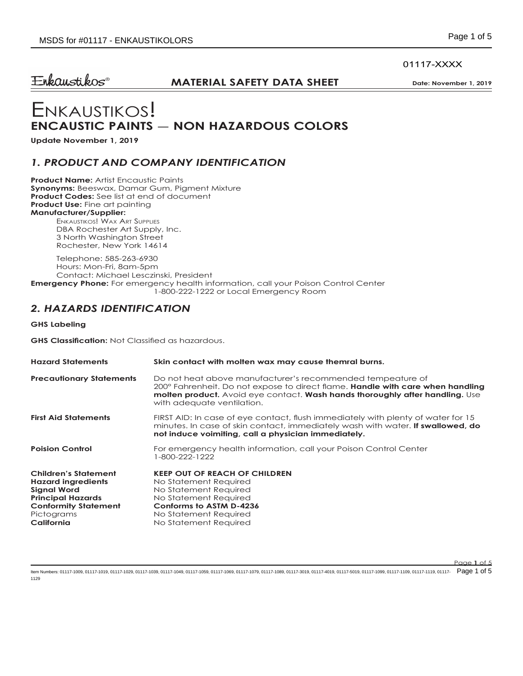#### 01117-XXXX

 $E$ nkaustikos®

### **MATERIAL SAFETY DATA SHEET** Date: November 1, 2019

# Enkaustikos! **ENCAUSTIC PAINTS — NON HAZARDOUS COLORS**

**Update November 1, 2019**

### *1. PRODUCT AND COMPANY IDENTIFICATION*

**Product Name:** Artist Encaustic Paints **Synonyms:** Beeswax, Damar Gum, Pigment Mixture **Product Codes:** See list at end of document **Product Use:** Fine art painting **Manufacturer/Supplier:**

Enkaustikos! Wax Art Supplies DBA Rochester Art Supply, Inc. 3 North Washington Street Rochester, New York 14614

Telephone: 585-263-6930 Hours: Mon-Fri, 8am-5pm Contact: Michael Lesczinski, President **Emergency Phone:** For emergency health information, call your Poison Control Center 1-800-222-1222 or Local Emergency Room

# *2. HAZARDS IDENTIFICATION*

**GHS Labeling**

**GHS Classification:** Not Classified as hazardous.

| <b>Hazard Statements</b>                                                                                                                                              | Skin contact with molten wax may cause themral burns.                                                                                                                                                                                                                           |
|-----------------------------------------------------------------------------------------------------------------------------------------------------------------------|---------------------------------------------------------------------------------------------------------------------------------------------------------------------------------------------------------------------------------------------------------------------------------|
| <b>Precautionary Statements</b>                                                                                                                                       | Do not heat above manufacturer's recommended tempeature of<br>200° Fahrenheit. Do not expose to direct flame. <b>Handle with care when handling</b><br><b>molten product.</b> Avoid eye contact. <b>Wash hands thoroughly after handling.</b> Use<br>with adequate ventilation. |
| <b>First Aid Statements</b>                                                                                                                                           | FIRST AID: In case of eye contact, flush immediately with plenty of water for 15<br>minutes. In case of skin contact, immediately wash with water. <b>If swallowed, do</b><br>not induce voimiting, call a physician immediately.                                               |
| <b>Poision Control</b>                                                                                                                                                | For emergency health information, call your Poison Control Center<br>$-800-222-1222$                                                                                                                                                                                            |
| <b>Children's Statement</b><br><b>Hazard ingredients</b><br><b>Signal Word</b><br><b>Principal Hazards</b><br><b>Conformity Statement</b><br>Pictograms<br>California | <b>KEEP OUT OF REACH OF CHILDREN</b><br>No Statement Required<br>No Statement Required<br>No Statement Required<br>Conforms to ASTM D-4236<br>No Statement Required<br>No Statement Required                                                                                    |

ltem Numbers: 01117-1009, 01117-1019, 01117-1029, 01117-1039, 01117-1049, 01117-1059, 01117-1069, 01117-1079, 01117-1079, 01117-1089, 01117-1089, 01117-4019, 01117-3019, 01117-4019, 01117-1099, 01117-1099, 01117-1099, 0111 1129

Page **1** of 5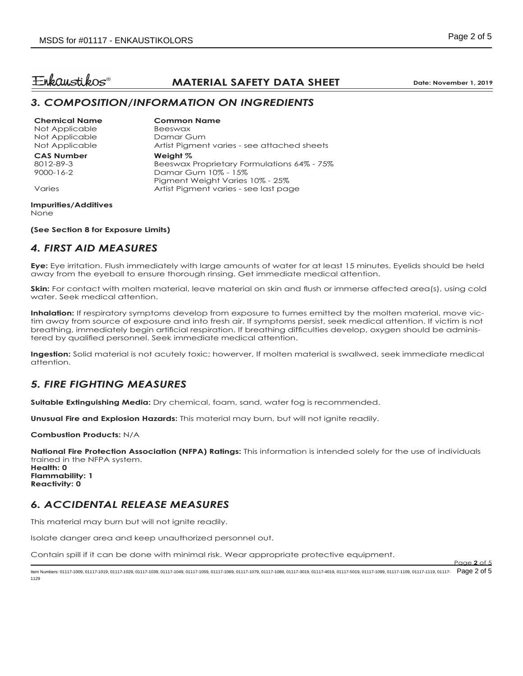Page **2** of 5

# $E$ nkaustikos®

# **MATERIAL SAFETY DATA SHEET** Date: November 1, 2019

### *3. COMPOSITION/INFORMATION ON INGREDIENTS*

**Chemical Name** Not Applicable Not Applicable Not Applicable **Common Name** Beeswax Damar Gum Artist Pigment varies - see attached sheets **CAS Number** 8012-89-3 9000-16-2 Varies **Weight %** Beeswax Proprietary Formulations 64% - 75% Damar Gum 10% - 15% Pigment Weight Varies 10% - 25% Artist Pigment varies - see last page

#### **Impurities/Additives** None

**(See Section 8 for Exposure Limits)**

# *4. FIRST AID MEASURES*

**Eye:** Eye irritation. Flush immediately with large amounts of water for at least 15 minutes. Eyelids should be held away from the eyeball to ensure thorough rinsing. Get immediate medical attention.

**Skin:** For contact with molten material, leave material on skin and flush or immerse affected area(s), using cold water. Seek medical attention.

**Inhalation:** If respiratory symptoms develop from exposure to fumes emitted by the molten material, move victim away from source of exposure and into fresh air. If symptoms persist, seek medical attention. If victim is not breathing, immediately begin artificial respiration. If breathing difficulties develop, oxygen should be administered by qualified personnel. Seek immediate medical attention.

**Ingestion:** Solid material is not acutely toxic; howerver, If molten material is swallwed, seek immediate medical attention.

# *5. FIRE FIGHTING MEASURES*

**Suitable Extinguishing Media:** Dry chemical, foam, sand, water fog is recommended.

**Unusual Fire and Explosion Hazards:** This material may burn, but will not ignite readily.

**Combustion Products:** N/A

**National Fire Protection Association (NFPA) Ratings:** This information is intended solely for the use of individuals trained in the NFPA system. **Health: 0**

**Flammability: 1 Reactivity: 0**

### *6. ACCIDENTAL RELEASE MEASURES*

This material may burn but will not ignite readily.

Isolate danger area and keep unauthorized personnel out.

Contain spill if it can be done with minimal risk. Wear appropriate protective equipment.

ltem Numbers: 01117-1009, 01117-1019, 01117-1029, 01117-1039, 01117-1049, 01117-1059, 01117-1069, 01117-1079, 01117-1079, 01117-1089, 01117-1089, 01117-4019, 01117-3019, 01117-4019, 01117-1099, 01117-1099, 01117-1099, 0111 1129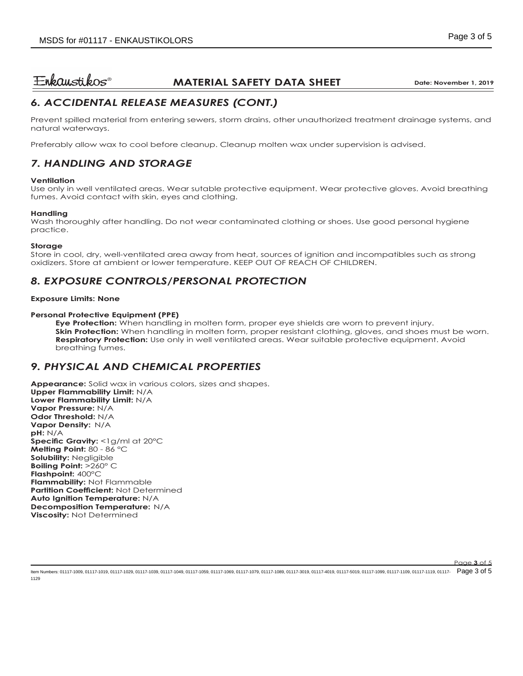# $E$ nkaustikos $^{\circ}$

# **MATERIAL SAFETY DATA SHEET** Date: November 1, 2019

# *6. ACCIDENTAL RELEASE MEASURES (CONT.)*

Prevent spilled material from entering sewers, storm drains, other unauthorized treatment drainage systems, and natural waterways.

Preferably allow wax to cool before cleanup. Cleanup molten wax under supervision is advised.

# *7. HANDLING AND STORAGE*

### **Ventilation**

Use only in well ventilated areas. Wear sutable protective equipment. Wear protective gloves. Avoid breathing fumes. Avoid contact with skin, eyes and clothing.

#### **Handling**

Wash thoroughly after handling. Do not wear contaminated clothing or shoes. Use good personal hygiene practice.

#### **Storage**

1129

Store in cool, dry, well-ventilated area away from heat, sources of ignition and incompatibles such as strong oxidizers. Store at ambient or lower temperature. KEEP OUT OF REACH OF CHILDREN.

# *8. EXPOSURE CONTROLS/PERSONAL PROTECTION*

#### **Exposure Limits: None**

#### **Personal Protective Equipment (PPE)**

**Eye Protection:** When handling in molten form, proper eye shields are worn to prevent injury. **Skin Protection:** When handling in molten form, proper resistant clothing, gloves, and shoes must be worn. **Respiratory Protection:** Use only in well ventilated areas. Wear suitable protective equipment. Avoid breathing fumes.

### *9. PHYSICAL AND CHEMICAL PROPERTIES*

**Appearance:** Solid wax in various colors, sizes and shapes. **Upper Flammability Limit:** N/A **Lower Flammability Limit:** N/A **Vapor Pressure:** N/A **Odor Threshold:** N/A **Vapor Density:** N/A **pH:** N/A **Specific Gravity:** <1g/ml at 20°C **Melting Point:** 80 - 86 °C **Solubility:** Negligible **Boiling Point:** >260° C **Flashpoint:** 400°C **Flammability:** Not Flammable **Partition Coefficient:** Not Determined **Auto Ignition Temperature:** N/A **Decomposition Temperature:** N/A **Viscosity:** Not Determined

Page **3** of 5 ltem Numbers: 01117-1009, 01117-1019, 01117-1029, 01117-1039, 01117-1049, 01117-1059, 01117-1069, 01117-1079, 01117-1079, 01117-1089, 01117-1089, 01117-4019, 01117-3019, 01117-4019, 01117-1099, 01117-1099, 01117-1099, 0111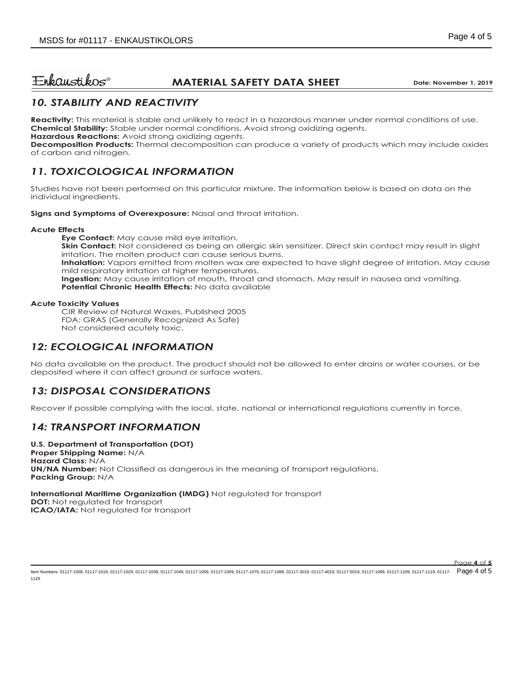#### $E$ nkaustikos $^{\circ}$ **MATERIAL SAFETY DATA SHEET** Data: November 1, 2019

# *10. STABILITY AND REACTIVITY*

**Reactivity:** This material is stable and unlikely to react in a hazardous manner under normal conditions of use. **Chemical Stability:** Stable under normal conditions. Avoid strong oxidizing agents.

**Hazardous Reactions:** Avoid strong oxidizing agents.

**Decomposition Products:** Thermal decomposition can produce a variety of products which may include oxides of carbon and nitrogen.

# *11. TOXICOLOGICAL INFORMATION*

Studies have not been performed on this particular mixture. The information below is based on data on the individual ingredients.

**Signs and Symptoms of Overexposure:** Nasal and throat irritation.

#### **Acute Effects**

**Eye Contact:** May cause mild eye irritation. **Skin Contact:** Not considered as being an allergic skin sensitizer. Direct skin contact may result in slight irritation. The molten product can cause serious burns. **Inhalation:** Vapors emitted from molten wax are expected to have slight degree of irritation. May cause mild respiratory irritation at higher temperatures. **Ingestion:** May cause irritation of mouth, throat and stomach. May result in nausea and vomiting. **Potential Chronic Health Effects:** No data available

#### **Acute Toxicity Values**

CIR Review of Natural Waxes, Published 2005 FDA: GRAS (Generally Recognized As Safe) Not considered acutely toxic.

# *12: ECOLOGICAL INFORMATION*

No data available on the product. The product should not be allowed to enter drains or water courses, or be deposited where it can affect ground or surface waters.

# *13: DISPOSAL CONSIDERATIONS*

Recover if possible complying with the local, state, national or international regulations currently in force.

# *14: TRANSPORT INFORMATION*

**U.S. Department of Transportation (DOT) Proper Shipping Name:** N/A **Hazard Class:** N/A **UN/NA Number:** Not Classified as dangerous in the meaning of transport regulations. **Packing Group:** N/A

**International Maritime Organization (IMDG)** Not regulated for transport

**DOT:** Not regulated for transport **ICAO/IATA:** Not regulated for transport

ltem Numbers: 01117-1009, 01117-1019, 01117-1029, 01117-1039, 01117-1049, 01117-1059, 01117-1069, 01117-1079, 01117-1079, 01117-1089, 01117-1089, 01117-4019, 01117-3019, 01117-4019, 01117-1099, 01117-1099, 01117-1099, 0111 1129